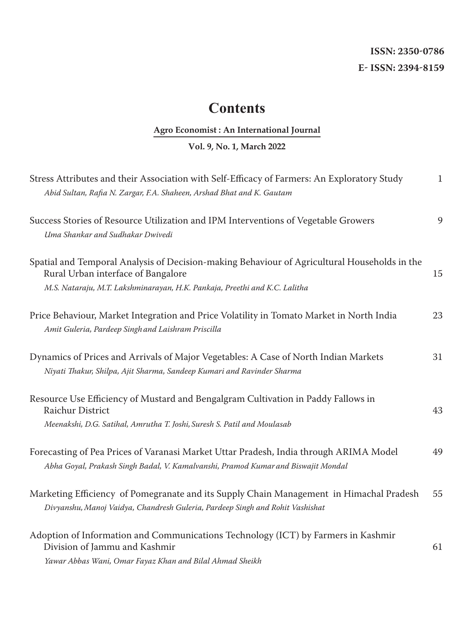## **ISSN: 2350-0786 E- ISSN: 2394-8159**

## **Contents**

## **Agro Economist : An International Journal**

## **Vol. 9, No. 1, March 2022**

| Stress Attributes and their Association with Self-Efficacy of Farmers: An Exploratory Study<br>Abid Sultan, Rafia N. Zargar, F.A. Shaheen, Arshad Bhat and K. Gautam                                             | $\mathbf{1}$ |
|------------------------------------------------------------------------------------------------------------------------------------------------------------------------------------------------------------------|--------------|
| Success Stories of Resource Utilization and IPM Interventions of Vegetable Growers<br>Uma Shankar and Sudhakar Dwivedi                                                                                           | 9            |
| Spatial and Temporal Analysis of Decision-making Behaviour of Agricultural Households in the<br>Rural Urban interface of Bangalore<br>M.S. Nataraju, M.T. Lakshminarayan, H.K. Pankaja, Preethi and K.C. Lalitha | 15           |
| Price Behaviour, Market Integration and Price Volatility in Tomato Market in North India<br>Amit Guleria, Pardeep Singh and Laishram Priscilla                                                                   | 23           |
| Dynamics of Prices and Arrivals of Major Vegetables: A Case of North Indian Markets<br>Niyati Thakur, Shilpa, Ajit Sharma, Sandeep Kumari and Ravinder Sharma                                                    | 31           |
| Resource Use Efficiency of Mustard and Bengalgram Cultivation in Paddy Fallows in<br>Raichur District<br>Meenakshi, D.G. Satihal, Amrutha T. Joshi, Suresh S. Patil and Moulasab                                 | 43           |
| Forecasting of Pea Prices of Varanasi Market Uttar Pradesh, India through ARIMA Model<br>Abha Goyal, Prakash Singh Badal, V. Kamalvanshi, Pramod Kumar and Biswajit Mondal                                       | 49           |
| Marketing Efficiency of Pomegranate and its Supply Chain Management in Himachal Pradesh<br>Divyanshu, Manoj Vaidya, Chandresh Guleria, Pardeep Singh and Rohit Vashishat                                         | 55           |
| Adoption of Information and Communications Technology (ICT) by Farmers in Kashmir<br>Division of Jammu and Kashmir<br>Yawar Abbas Wani, Omar Fayaz Khan and Bilal Ahmad Sheikh                                   | 61           |